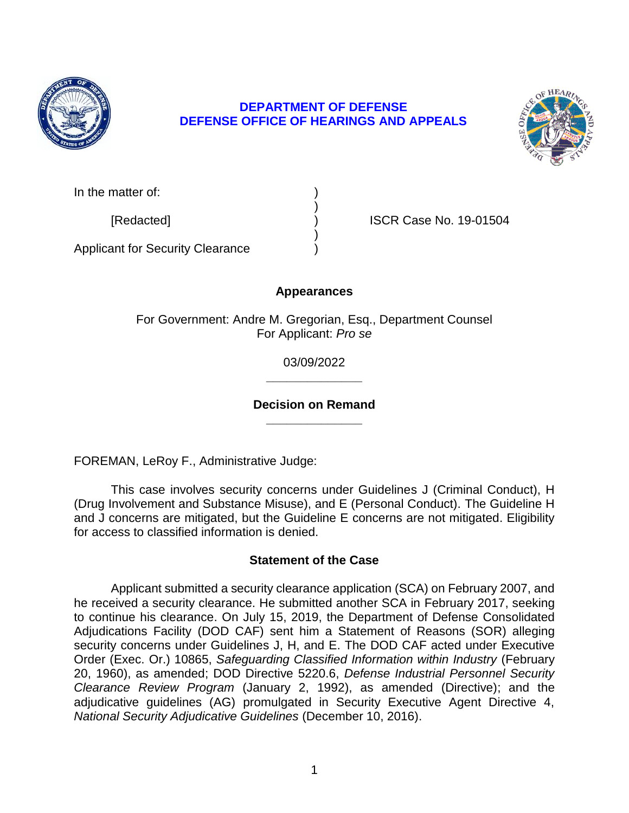

## **DEFENSE OFFICE OF HEARINGS AND APPEALS DEPARTMENT OF DEFENSE**



| In the matter of: |  |
|-------------------|--|
|                   |  |

[Redacted] ) ISCR Case No. 19-01504

Applicant for Security Clearance )

# **Appearances**

)

)

For Government: Andre M. Gregorian, Esq., Department Counsel For Applicant: *Pro se* 

> **\_\_\_\_\_\_\_\_\_\_\_\_\_\_**  03/09/2022

## **\_\_\_\_\_\_\_\_\_\_\_\_\_\_ Decision on Remand**

FOREMAN, LeRoy F., Administrative Judge:

 This case involves security concerns under Guidelines J (Criminal Conduct), H (Drug Involvement and Substance Misuse), and E (Personal Conduct). The Guideline H and J concerns are mitigated, but the Guideline E concerns are not mitigated. Eligibility for access to classified information is denied.

## **Statement of the Case**

 Applicant submitted a security clearance application (SCA) on February 2007, and he received a security clearance. He submitted another SCA in February 2017, seeking to continue his clearance. On July 15, 2019, the Department of Defense Consolidated  Order (Exec. Or.) 10865, *Safeguarding Classified Information within Industry* (February  *Clearance Review Program* (January 2, 1992), as amended (Directive); and the adjudicative guidelines (AG) promulgated in Security Executive Agent Directive 4, Adjudications Facility (DOD CAF) sent him a Statement of Reasons (SOR) alleging security concerns under Guidelines J, H, and E. The DOD CAF acted under Executive 20, 1960), as amended; DOD Directive 5220.6, *Defense Industrial Personnel Security National Security Adjudicative Guidelines* (December 10, 2016).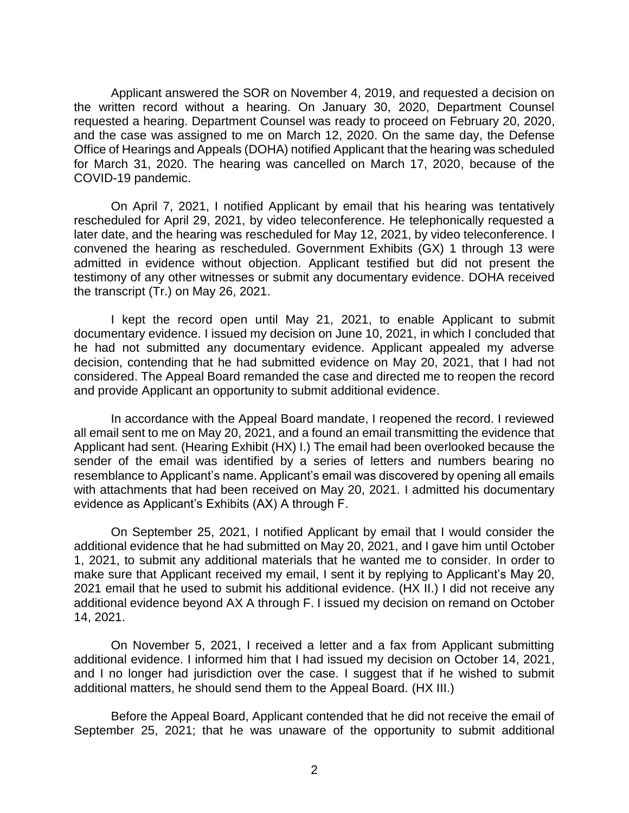the written record without a hearing. On January 30, 2020, Department Counsel requested a hearing. Department Counsel was ready to proceed on February 20, 2020, and the case was assigned to me on March 12, 2020. On the same day, the Defense Office of Hearings and Appeals (DOHA) notified Applicant that the hearing was scheduled for March 31, 2020. The hearing was cancelled on March 17, 2020, because of the Applicant answered the SOR on November 4, 2019, and requested a decision on COVID-19 pandemic.

 On April 7, 2021, I notified Applicant by email that his hearing was tentatively rescheduled for April 29, 2021, by video teleconference. He telephonically requested a later date, and the hearing was rescheduled for May 12, 2021, by video teleconference. I convened the hearing as rescheduled. Government Exhibits (GX) 1 through 13 were admitted in evidence without objection. Applicant testified but did not present the testimony of any other witnesses or submit any documentary evidence. DOHA received the transcript (Tr.) on May 26, 2021.

 I kept the record open until May 21, 2021, to enable Applicant to submit documentary evidence. I issued my decision on June 10, 2021, in which I concluded that he had not submitted any documentary evidence. Applicant appealed my adverse decision, contending that he had submitted evidence on May 20, 2021, that I had not considered. The Appeal Board remanded the case and directed me to reopen the record and provide Applicant an opportunity to submit additional evidence.

 In accordance with the Appeal Board mandate, I reopened the record. I reviewed all email sent to me on May 20, 2021, and a found an email transmitting the evidence that Applicant had sent. (Hearing Exhibit (HX) I.) The email had been overlooked because the sender of the email was identified by a series of letters and numbers bearing no resemblance to Applicant's name. Applicant's email was discovered by opening all emails with attachments that had been received on May 20, 2021. I admitted his documentary evidence as Applicant's Exhibits (AX) A through F.

 On September 25, 2021, I notified Applicant by email that I would consider the additional evidence that he had submitted on May 20, 2021, and I gave him until October 1, 2021, to submit any additional materials that he wanted me to consider. In order to make sure that Applicant received my email, I sent it by replying to Applicant's May 20, 2021 email that he used to submit his additional evidence. (HX II.) I did not receive any additional evidence beyond AX A through F. I issued my decision on remand on October 14, 2021.

 On November 5, 2021, I received a letter and a fax from Applicant submitting additional evidence. I informed him that I had issued my decision on October 14, 2021, and I no longer had jurisdiction over the case. I suggest that if he wished to submit additional matters, he should send them to the Appeal Board. (HX III.)

 Before the Appeal Board, Applicant contended that he did not receive the email of September 25, 2021; that he was unaware of the opportunity to submit additional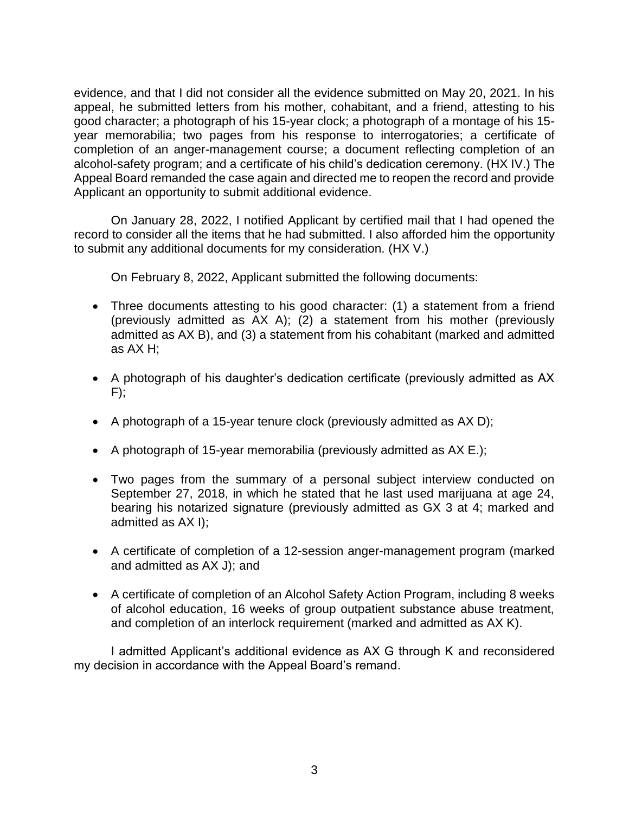evidence, and that I did not consider all the evidence submitted on May 20, 2021. In his appeal, he submitted letters from his mother, cohabitant, and a friend, attesting to his good character; a photograph of his 15-year clock; a photograph of a montage of his 15 year memorabilia; two pages from his response to interrogatories; a certificate of completion of an anger-management course; a document reflecting completion of an alcohol-safety program; and a certificate of his child's dedication ceremony. (HX IV.) The Appeal Board remanded the case again and directed me to reopen the record and provide Applicant an opportunity to submit additional evidence.

 On January 28, 2022, I notified Applicant by certified mail that I had opened the record to consider all the items that he had submitted. I also afforded him the opportunity to submit any additional documents for my consideration. (HX V.)

On February 8, 2022, Applicant submitted the following documents:

- Three documents attesting to his good character: (1) a statement from a friend (previously admitted as AX A); (2) a statement from his mother (previously admitted as AX B), and (3) a statement from his cohabitant (marked and admitted as AX H;
- A photograph of his daughter's dedication certificate (previously admitted as AX  $F$ :
- A photograph of a 15-year tenure clock (previously admitted as AX D);
- A photograph of 15-year memorabilia (previously admitted as  $AX E.$ );
- Two pages from the summary of a personal subject interview conducted on September 27, 2018, in which he stated that he last used marijuana at age 24, bearing his notarized signature (previously admitted as GX 3 at 4; marked and admitted as AX I);
- A certificate of completion of a 12-session anger-management program (marked and admitted as AX J); and
- A certificate of completion of an Alcohol Safety Action Program, including 8 weeks of alcohol education, 16 weeks of group outpatient substance abuse treatment, and completion of an interlock requirement (marked and admitted as AX K).

 I admitted Applicant's additional evidence as AX G through K and reconsidered my decision in accordance with the Appeal Board's remand.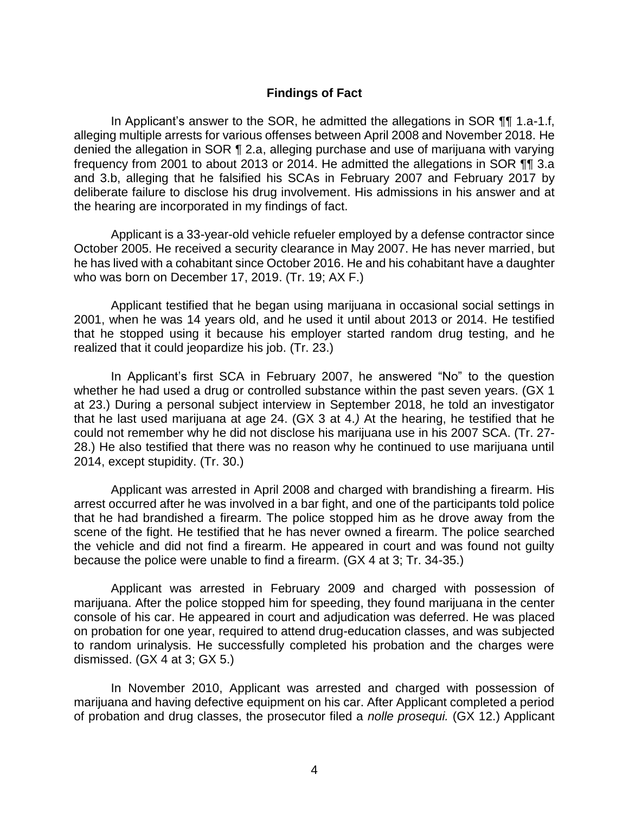### **Findings of Fact**

 In Applicant's answer to the SOR, he admitted the allegations in SOR ¶¶ 1.a-1.f, alleging multiple arrests for various offenses between April 2008 and November 2018. He denied the allegation in SOR ¶ 2.a, alleging purchase and use of marijuana with varying frequency from 2001 to about 2013 or 2014. He admitted the allegations in SOR ¶¶ 3.a and 3.b, alleging that he falsified his SCAs in February 2007 and February 2017 by deliberate failure to disclose his drug involvement. His admissions in his answer and at the hearing are incorporated in my findings of fact.

 Applicant is a 33-year-old vehicle refueler employed by a defense contractor since he has lived with a cohabitant since October 2016. He and his cohabitant have a daughter October 2005. He received a security clearance in May 2007. He has never married, but who was born on December 17, 2019. (Tr. 19; AX F.)

 Applicant testified that he began using marijuana in occasional social settings in 2001, when he was 14 years old, and he used it until about 2013 or 2014. He testified that he stopped using it because his employer started random drug testing, and he realized that it could jeopardize his job. (Tr. 23.)

In Applicant's first SCA in February 2007, he answered "No" to the question whether he had used a drug or controlled substance within the past seven years. (GX 1 at 23.) During a personal subject interview in September 2018, he told an investigator that he last used marijuana at age 24. (GX 3 at 4.*)* At the hearing, he testified that he could not remember why he did not disclose his marijuana use in his 2007 SCA. (Tr. 27- 28.) He also testified that there was no reason why he continued to use marijuana until 2014, except stupidity. (Tr. 30.)

 Applicant was arrested in April 2008 and charged with brandishing a firearm. His arrest occurred after he was involved in a bar fight, and one of the participants told police that he had brandished a firearm. The police stopped him as he drove away from the scene of the fight. He testified that he has never owned a firearm. The police searched the vehicle and did not find a firearm. He appeared in court and was found not guilty because the police were unable to find a firearm. (GX 4 at 3; Tr. 34-35.)

 Applicant was arrested in February 2009 and charged with possession of marijuana. After the police stopped him for speeding, they found marijuana in the center console of his car. He appeared in court and adjudication was deferred. He was placed on probation for one year, required to attend drug-education classes, and was subjected to random urinalysis. He successfully completed his probation and the charges were dismissed. (GX 4 at 3; GX 5.)

 In November 2010, Applicant was arrested and charged with possession of marijuana and having defective equipment on his car. After Applicant completed a period of probation and drug classes, the prosecutor filed a *nolle prosequi.* (GX 12.) Applicant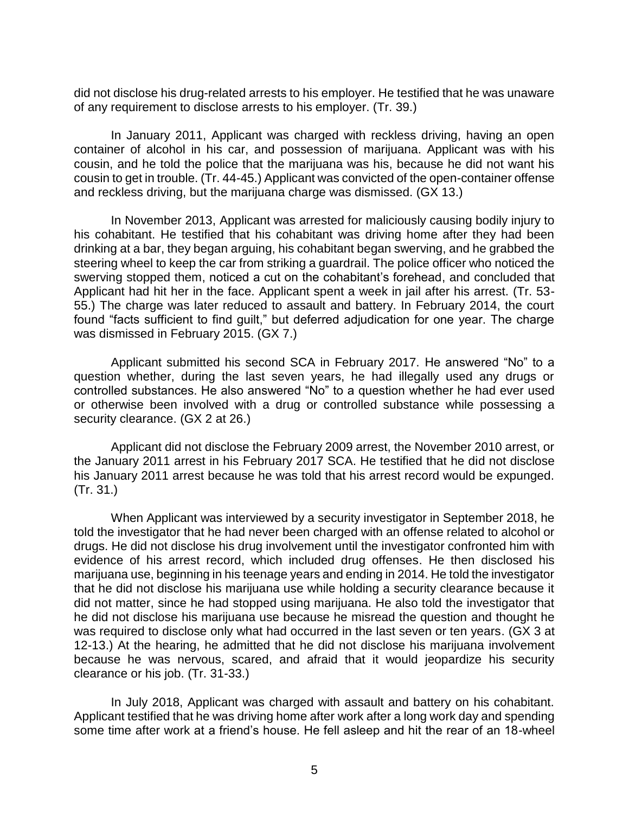did not disclose his drug-related arrests to his employer. He testified that he was unaware of any requirement to disclose arrests to his employer. (Tr. 39.)

 In January 2011, Applicant was charged with reckless driving, having an open container of alcohol in his car, and possession of marijuana. Applicant was with his cousin, and he told the police that the marijuana was his, because he did not want his cousin to get in trouble. (Tr. 44-45.) Applicant was convicted of the open-container offense and reckless driving, but the marijuana charge was dismissed. (GX 13.)

In November 2013, Applicant was arrested for maliciously causing bodily injury to his cohabitant. He testified that his cohabitant was driving home after they had been drinking at a bar, they began arguing, his cohabitant began swerving, and he grabbed the steering wheel to keep the car from striking a guardrail. The police officer who noticed the swerving stopped them, noticed a cut on the cohabitant's forehead, and concluded that Applicant had hit her in the face. Applicant spent a week in jail after his arrest. (Tr. 53- 55.) The charge was later reduced to assault and battery. In February 2014, the court found "facts sufficient to find guilt," but deferred adjudication for one year. The charge was dismissed in February 2015. (GX 7.)

 Applicant submitted his second SCA in February 2017. He answered "No" to a question whether, during the last seven years, he had illegally used any drugs or controlled substances. He also answered "No" to a question whether he had ever used or otherwise been involved with a drug or controlled substance while possessing a security clearance. (GX 2 at 26.)

 Applicant did not disclose the February 2009 arrest, the November 2010 arrest, or the January 2011 arrest in his February 2017 SCA. He testified that he did not disclose his January 2011 arrest because he was told that his arrest record would be expunged. (Tr. 31.)

 When Applicant was interviewed by a security investigator in September 2018, he told the investigator that he had never been charged with an offense related to alcohol or drugs. He did not disclose his drug involvement until the investigator confronted him with evidence of his arrest record, which included drug offenses. He then disclosed his marijuana use, beginning in his teenage years and ending in 2014. He told the investigator that he did not disclose his marijuana use while holding a security clearance because it did not matter, since he had stopped using marijuana. He also told the investigator that he did not disclose his marijuana use because he misread the question and thought he was required to disclose only what had occurred in the last seven or ten years. (GX 3 at 12-13.) At the hearing, he admitted that he did not disclose his marijuana involvement because he was nervous, scared, and afraid that it would jeopardize his security clearance or his job. (Tr. 31-33.)

 In July 2018, Applicant was charged with assault and battery on his cohabitant. Applicant testified that he was driving home after work after a long work day and spending some time after work at a friend's house. He fell asleep and hit the rear of an 18-wheel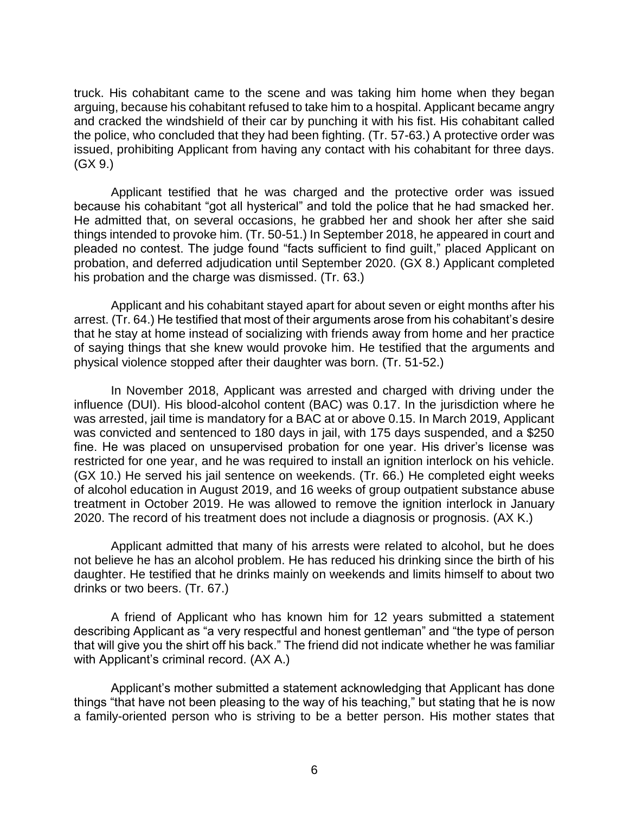truck. His cohabitant came to the scene and was taking him home when they began arguing, because his cohabitant refused to take him to a hospital. Applicant became angry and cracked the windshield of their car by punching it with his fist. His cohabitant called the police, who concluded that they had been fighting. (Tr. 57-63.) A protective order was issued, prohibiting Applicant from having any contact with his cohabitant for three days. (GX 9.)

Applicant testified that he was charged and the protective order was issued because his cohabitant "got all hysterical" and told the police that he had smacked her. He admitted that, on several occasions, he grabbed her and shook her after she said things intended to provoke him. (Tr. 50-51.) In September 2018, he appeared in court and pleaded no contest. The judge found "facts sufficient to find guilt," placed Applicant on probation, and deferred adjudication until September 2020. (GX 8.) Applicant completed his probation and the charge was dismissed. (Tr. 63.)

 arrest. (Tr. 64.) He testified that most of their arguments arose from his cohabitant's desire that he stay at home instead of socializing with friends away from home and her practice of saying things that she knew would provoke him. He testified that the arguments and Applicant and his cohabitant stayed apart for about seven or eight months after his physical violence stopped after their daughter was born. (Tr. 51-52.)

 In November 2018, Applicant was arrested and charged with driving under the influence (DUI). His blood-alcohol content (BAC) was 0.17. In the jurisdiction where he was arrested, jail time is mandatory for a BAC at or above 0.15. In March 2019, Applicant was convicted and sentenced to 180 days in jail, with 175 days suspended, and a \$250 fine. He was placed on unsupervised probation for one year. His driver's license was restricted for one year, and he was required to install an ignition interlock on his vehicle. (GX 10.) He served his jail sentence on weekends. (Tr. 66.) He completed eight weeks treatment in October 2019. He was allowed to remove the ignition interlock in January of alcohol education in August 2019, and 16 weeks of group outpatient substance abuse 2020. The record of his treatment does not include a diagnosis or prognosis. (AX K.)

 Applicant admitted that many of his arrests were related to alcohol, but he does not believe he has an alcohol problem. He has reduced his drinking since the birth of his daughter. He testified that he drinks mainly on weekends and limits himself to about two drinks or two beers. (Tr. 67.)

 A friend of Applicant who has known him for 12 years submitted a statement describing Applicant as "a very respectful and honest gentleman" and "the type of person that will give you the shirt off his back." The friend did not indicate whether he was familiar with Applicant's criminal record. (AX A.)

 a family-oriented person who is striving to be a better person. His mother states that Applicant's mother submitted a statement acknowledging that Applicant has done things "that have not been pleasing to the way of his teaching," but stating that he is now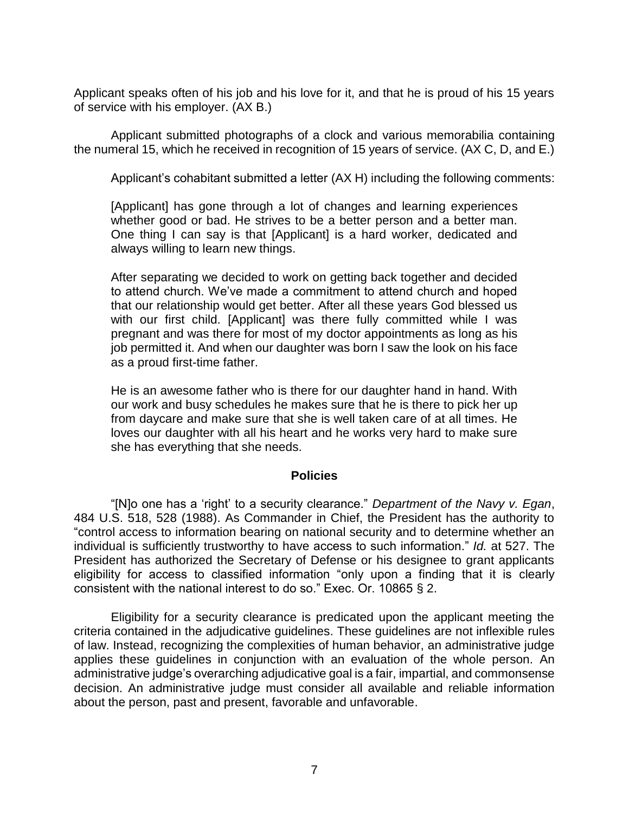Applicant speaks often of his job and his love for it, and that he is proud of his 15 years of service with his employer. (AX B.)

 Applicant submitted photographs of a clock and various memorabilia containing the numeral 15, which he received in recognition of 15 years of service. (AX C, D, and E.)

Applicant's cohabitant submitted a letter (AX H) including the following comments:

 [Applicant] has gone through a lot of changes and learning experiences whether good or bad. He strives to be a better person and a better man. One thing I can say is that [Applicant] is a hard worker, dedicated and always willing to learn new things.

After separating we decided to work on getting back together and decided to attend church. We've made a commitment to attend church and hoped that our relationship would get better. After all these years God blessed us with our first child. [Applicant] was there fully committed while I was pregnant and was there for most of my doctor appointments as long as his job permitted it. And when our daughter was born I saw the look on his face as a proud first-time father.

 He is an awesome father who is there for our daughter hand in hand. With our work and busy schedules he makes sure that he is there to pick her up from daycare and make sure that she is well taken care of at all times. He loves our daughter with all his heart and he works very hard to make sure she has everything that she needs.

#### **Policies**

 "[N]o one has a 'right' to a security clearance." *Department of the Navy v. Egan*, 484 U.S. 518, 528 (1988). As Commander in Chief, the President has the authority to "control access to information bearing on national security and to determine whether an individual is sufficiently trustworthy to have access to such information." *Id.* at 527. The President has authorized the Secretary of Defense or his designee to grant applicants eligibility for access to classified information "only upon a finding that it is clearly consistent with the national interest to do so." Exec. Or. 10865 § 2.

 Eligibility for a security clearance is predicated upon the applicant meeting the criteria contained in the adjudicative guidelines. These guidelines are not inflexible rules applies these guidelines in conjunction with an evaluation of the whole person. An administrative judge's overarching adjudicative goal is a fair, impartial, and commonsense about the person, past and present, favorable and unfavorable. of law. Instead, recognizing the complexities of human behavior, an administrative judge decision. An administrative judge must consider all available and reliable information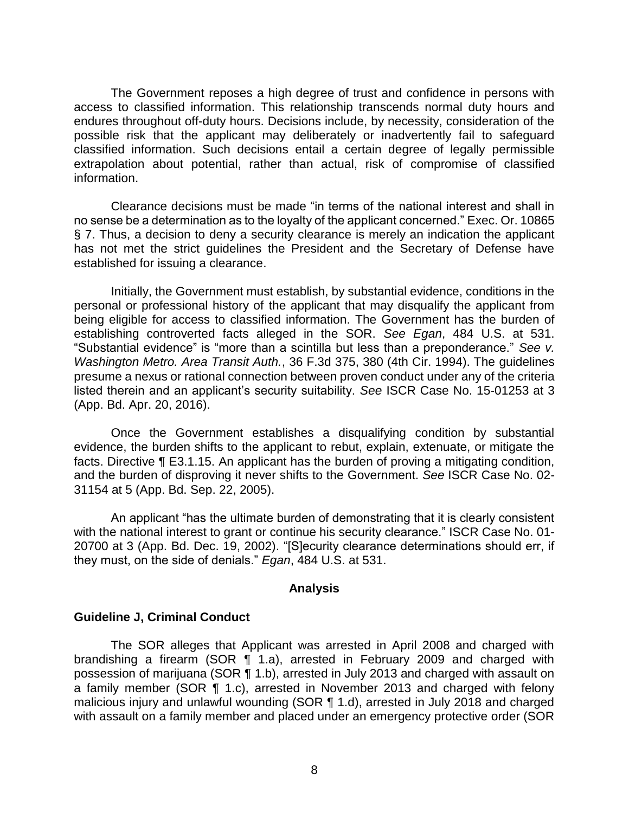The Government reposes a high degree of trust and confidence in persons with access to classified information. This relationship transcends normal duty hours and endures throughout off-duty hours. Decisions include, by necessity, consideration of the possible risk that the applicant may deliberately or inadvertently fail to safeguard classified information. Such decisions entail a certain degree of legally permissible extrapolation about potential, rather than actual, risk of compromise of classified information.

 Clearance decisions must be made "in terms of the national interest and shall in no sense be a determination as to the loyalty of the applicant concerned." Exec. Or. 10865 § 7. Thus, a decision to deny a security clearance is merely an indication the applicant has not met the strict guidelines the President and the Secretary of Defense have established for issuing a clearance.

 Initially, the Government must establish, by substantial evidence, conditions in the personal or professional history of the applicant that may disqualify the applicant from being eligible for access to classified information. The Government has the burden of establishing controverted facts alleged in the SOR. *See Egan*, 484 U.S. at 531. "Substantial evidence" is "more than a scintilla but less than a preponderance." *See v. Washington Metro. Area Transit Auth.*, 36 F.3d 375, 380 (4th Cir. 1994). The guidelines presume a nexus or rational connection between proven conduct under any of the criteria listed therein and an applicant's security suitability. *See* ISCR Case No. 15-01253 at 3 (App. Bd. Apr. 20, 2016).

Once the Government establishes a disqualifying condition by substantial evidence, the burden shifts to the applicant to rebut, explain, extenuate, or mitigate the facts. Directive ¶ E3.1.15. An applicant has the burden of proving a mitigating condition, and the burden of disproving it never shifts to the Government. *See* ISCR Case No. 02- 31154 at 5 (App. Bd. Sep. 22, 2005).

An applicant "has the ultimate burden of demonstrating that it is clearly consistent with the national interest to grant or continue his security clearance." ISCR Case No. 01- 20700 at 3 (App. Bd. Dec. 19, 2002). "[S]ecurity clearance determinations should err, if they must, on the side of denials." *Egan*, 484 U.S. at 531.

#### **Analysis**

#### **Guideline J, Criminal Conduct**

 The SOR alleges that Applicant was arrested in April 2008 and charged with brandishing a firearm (SOR ¶ 1.a), arrested in February 2009 and charged with a family member (SOR ¶ 1.c), arrested in November 2013 and charged with felony malicious injury and unlawful wounding (SOR ¶ 1.d), arrested in July 2018 and charged with assault on a family member and placed under an emergency protective order (SOR possession of marijuana (SOR ¶ 1.b), arrested in July 2013 and charged with assault on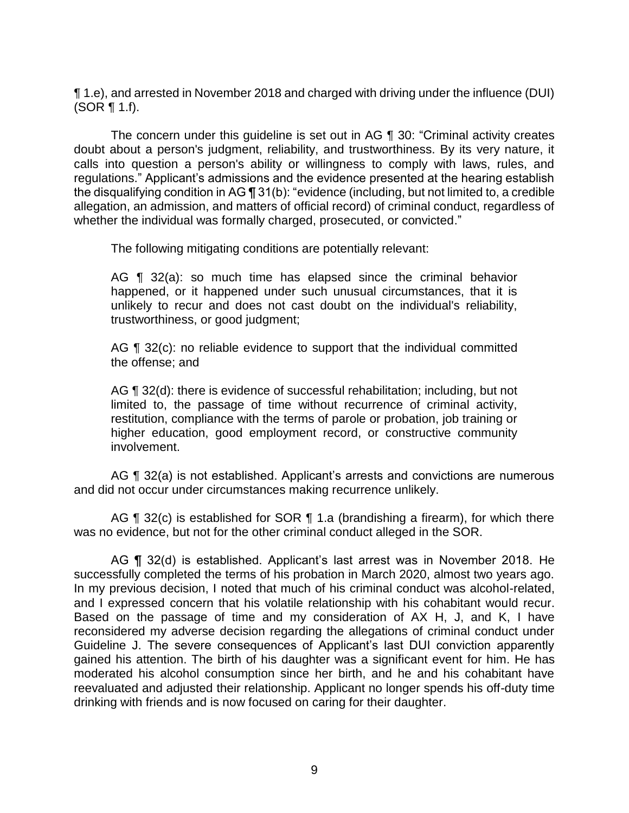¶ 1.e), and arrested in November 2018 and charged with driving under the influence (DUI) (SOR ¶ 1.f).

 The concern under this guideline is set out in AG ¶ 30: "Criminal activity creates doubt about a person's judgment, reliability, and trustworthiness. By its very nature, it calls into question a person's ability or willingness to comply with laws, rules, and regulations." Applicant's admissions and the evidence presented at the hearing establish the disqualifying condition in AG ¶ 31(b): "evidence (including, but not limited to, a credible allegation, an admission, and matters of official record) of criminal conduct, regardless of whether the individual was formally charged, prosecuted, or convicted."

The following mitigating conditions are potentially relevant:

 AG ¶ 32(a): so much time has elapsed since the criminal behavior unlikely to recur and does not cast doubt on the individual's reliability, happened, or it happened under such unusual circumstances, that it is trustworthiness, or good judgment;

AG ¶ 32(c): no reliable evidence to support that the individual committed the offense; and

 limited to, the passage of time without recurrence of criminal activity, restitution, compliance with the terms of parole or probation, job training or AG ¶ 32(d): there is evidence of successful rehabilitation; including, but not higher education, good employment record, or constructive community involvement.

AG ¶ 32(a) is not established. Applicant's arrests and convictions are numerous and did not occur under circumstances making recurrence unlikely.

AG  $\P$  32(c) is established for SOR  $\P$  1.a (brandishing a firearm), for which there was no evidence, but not for the other criminal conduct alleged in the SOR.

 successfully completed the terms of his probation in March 2020, almost two years ago. In my previous decision, I noted that much of his criminal conduct was alcohol-related, and I expressed concern that his volatile relationship with his cohabitant would recur. Based on the passage of time and my consideration of AX H, J, and K, I have reconsidered my adverse decision regarding the allegations of criminal conduct under Guideline J. The severe consequences of Applicant's last DUI conviction apparently gained his attention. The birth of his daughter was a significant event for him. He has moderated his alcohol consumption since her birth, and he and his cohabitant have reevaluated and adjusted their relationship. Applicant no longer spends his off-duty time drinking with friends and is now focused on caring for their daughter. AG ¶ 32(d) is established. Applicant's last arrest was in November 2018. He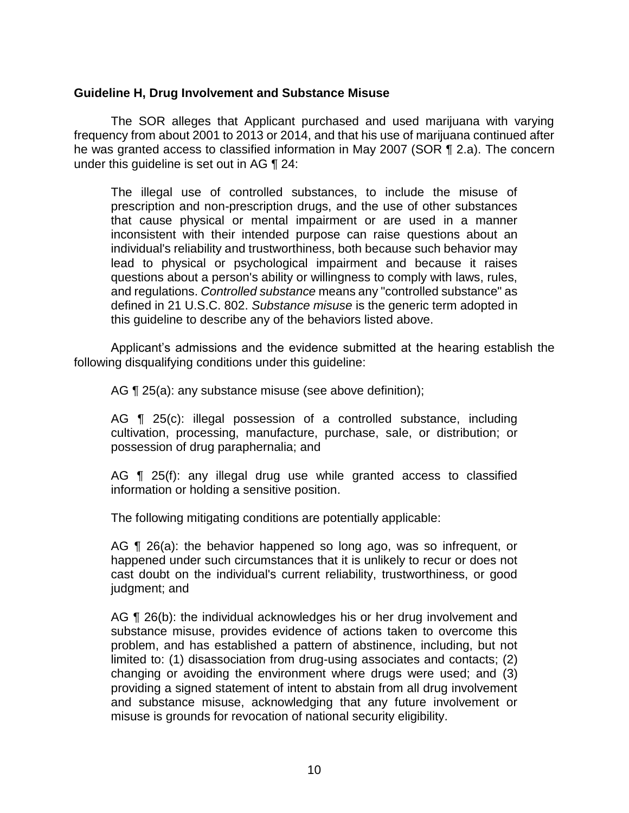### **Guideline H, Drug Involvement and Substance Misuse**

 The SOR alleges that Applicant purchased and used marijuana with varying frequency from about 2001 to 2013 or 2014, and that his use of marijuana continued after he was granted access to classified information in May 2007 (SOR ¶ 2.a). The concern under this guideline is set out in AG ¶ 24:

The illegal use of controlled substances, to include the misuse of prescription and non-prescription drugs, and the use of other substances that cause physical or mental impairment or are used in a manner inconsistent with their intended purpose can raise questions about an individual's reliability and trustworthiness, both because such behavior may lead to physical or psychological impairment and because it raises questions about a person's ability or willingness to comply with laws, rules, and regulations. *Controlled substance* means any "controlled substance" as defined in 21 U.S.C. 802. *Substance misuse* is the generic term adopted in this guideline to describe any of the behaviors listed above.

 Applicant's admissions and the evidence submitted at the hearing establish the following disqualifying conditions under this guideline:

AG ¶ 25(a): any substance misuse (see above definition);

 AG ¶ 25(c): illegal possession of a controlled substance, including cultivation, processing, manufacture, purchase, sale, or distribution; or possession of drug paraphernalia; and

AG ¶ 25(f): any illegal drug use while granted access to classified information or holding a sensitive position.

The following mitigating conditions are potentially applicable:

AG ¶ 26(a): the behavior happened so long ago, was so infrequent, or happened under such circumstances that it is unlikely to recur or does not cast doubt on the individual's current reliability, trustworthiness, or good judgment; and

AG ¶ 26(b): the individual acknowledges his or her drug involvement and substance misuse, provides evidence of actions taken to overcome this problem, and has established a pattern of abstinence, including, but not limited to: (1) disassociation from drug-using associates and contacts; (2) changing or avoiding the environment where drugs were used; and (3) providing a signed statement of intent to abstain from all drug involvement and substance misuse, acknowledging that any future involvement or misuse is grounds for revocation of national security eligibility.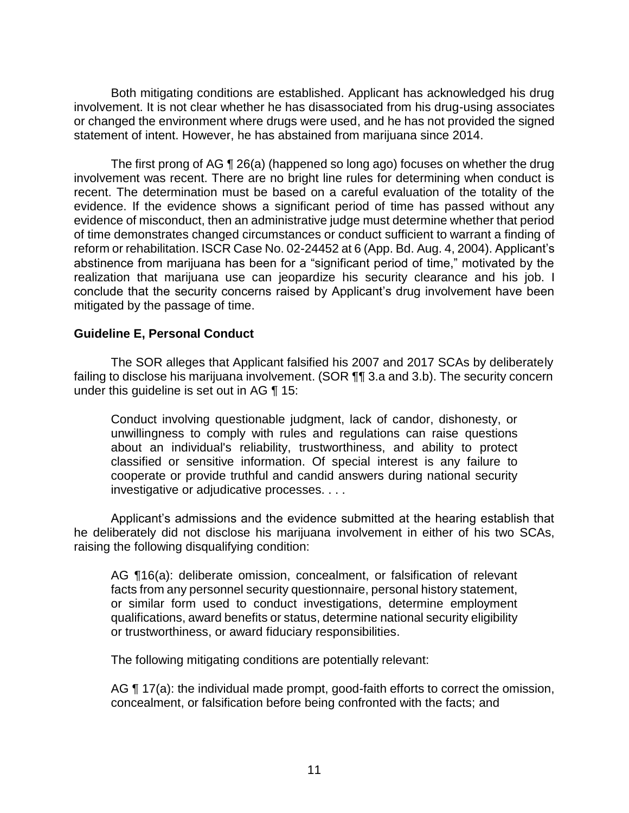Both mitigating conditions are established. Applicant has acknowledged his drug or changed the environment where drugs were used, and he has not provided the signed statement of intent. However, he has abstained from marijuana since 2014. involvement. It is not clear whether he has disassociated from his drug-using associates

The first prong of AG ¶ 26(a) (happened so long ago) focuses on whether the drug involvement was recent. There are no bright line rules for determining when conduct is recent. The determination must be based on a careful evaluation of the totality of the evidence. If the evidence shows a significant period of time has passed without any evidence of misconduct, then an administrative judge must determine whether that period of time demonstrates changed circumstances or conduct sufficient to warrant a finding of reform or rehabilitation. ISCR Case No. 02-24452 at 6 (App. Bd. Aug. 4, 2004). Applicant's abstinence from marijuana has been for a "significant period of time," motivated by the realization that marijuana use can jeopardize his security clearance and his job. I conclude that the security concerns raised by Applicant's drug involvement have been mitigated by the passage of time.

## **Guideline E, Personal Conduct**

 The SOR alleges that Applicant falsified his 2007 and 2017 SCAs by deliberately failing to disclose his marijuana involvement. (SOR ¶¶ 3.a and 3.b). The security concern under this guideline is set out in AG ¶ 15:

Conduct involving questionable judgment, lack of candor, dishonesty, or unwillingness to comply with rules and regulations can raise questions about an individual's reliability, trustworthiness, and ability to protect classified or sensitive information. Of special interest is any failure to cooperate or provide truthful and candid answers during national security investigative or adjudicative processes. . . .

Applicant's admissions and the evidence submitted at the hearing establish that he deliberately did not disclose his marijuana involvement in either of his two SCAs, raising the following disqualifying condition:

 AG ¶16(a): deliberate omission, concealment, or falsification of relevant facts from any personnel security questionnaire, personal history statement, or similar form used to conduct investigations, determine employment qualifications, award benefits or status, determine national security eligibility or trustworthiness, or award fiduciary responsibilities.

The following mitigating conditions are potentially relevant:

AG ¶ 17(a): the individual made prompt, good-faith efforts to correct the omission, concealment, or falsification before being confronted with the facts; and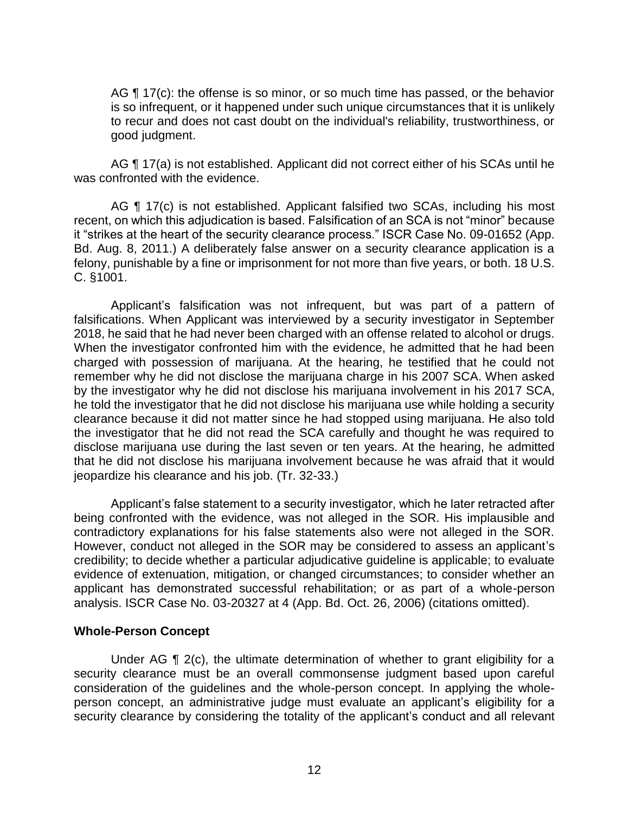AG  $\P$  17(c): the offense is so minor, or so much time has passed, or the behavior is so infrequent, or it happened under such unique circumstances that it is unlikely to recur and does not cast doubt on the individual's reliability, trustworthiness, or good judgment.

AG ¶ 17(a) is not established. Applicant did not correct either of his SCAs until he was confronted with the evidence.

AG ¶ 17(c) is not established. Applicant falsified two SCAs, including his most recent, on which this adjudication is based. Falsification of an SCA is not "minor" because it "strikes at the heart of the security clearance process." ISCR Case No. 09-01652 (App. Bd. Aug. 8, 2011.) A deliberately false answer on a security clearance application is a felony, punishable by a fine or imprisonment for not more than five years, or both. 18 U.S. C. §1001.

 Applicant's falsification was not infrequent, but was part of a pattern of falsifications. When Applicant was interviewed by a security investigator in September 2018, he said that he had never been charged with an offense related to alcohol or drugs. When the investigator confronted him with the evidence, he admitted that he had been charged with possession of marijuana. At the hearing, he testified that he could not remember why he did not disclose the marijuana charge in his 2007 SCA. When asked by the investigator why he did not disclose his marijuana involvement in his 2017 SCA, he told the investigator that he did not disclose his marijuana use while holding a security clearance because it did not matter since he had stopped using marijuana. He also told the investigator that he did not read the SCA carefully and thought he was required to disclose marijuana use during the last seven or ten years. At the hearing, he admitted that he did not disclose his marijuana involvement because he was afraid that it would jeopardize his clearance and his job. (Tr. 32-33.)

 Applicant's false statement to a security investigator, which he later retracted after being confronted with the evidence, was not alleged in the SOR. His implausible and contradictory explanations for his false statements also were not alleged in the SOR. However, conduct not alleged in the SOR may be considered to assess an applicant's credibility; to decide whether a particular adjudicative guideline is applicable; to evaluate applicant has demonstrated successful rehabilitation; or as part of a whole-person evidence of extenuation, mitigation, or changed circumstances; to consider whether an analysis. ISCR Case No. 03-20327 at 4 (App. Bd. Oct. 26, 2006) (citations omitted).

#### **Whole-Person Concept**

Under AG ¶ 2(c), the ultimate determination of whether to grant eligibility for a security clearance must be an overall commonsense judgment based upon careful consideration of the guidelines and the whole-person concept. In applying the whole- person concept, an administrative judge must evaluate an applicant's eligibility for a security clearance by considering the totality of the applicant's conduct and all relevant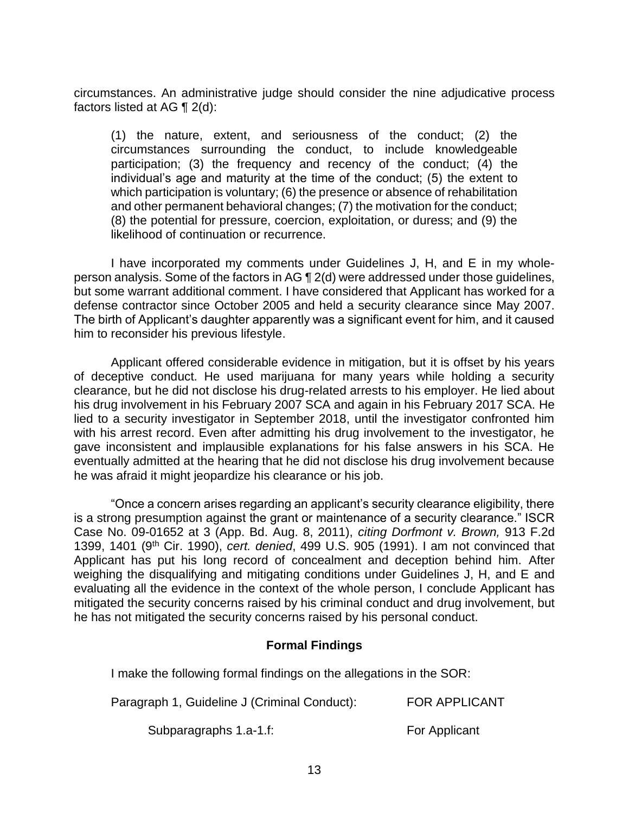circumstances. An administrative judge should consider the nine adjudicative process factors listed at AG ¶ 2(d):

 (1) the nature, extent, and seriousness of the conduct; (2) the circumstances surrounding the conduct, to include knowledgeable participation; (3) the frequency and recency of the conduct; (4) the individual's age and maturity at the time of the conduct; (5) the extent to which participation is voluntary; (6) the presence or absence of rehabilitation and other permanent behavioral changes; (7) the motivation for the conduct; (8) the potential for pressure, coercion, exploitation, or duress; and (9) the likelihood of continuation or recurrence.

 I have incorporated my comments under Guidelines J, H, and E in my whole- person analysis. Some of the factors in AG ¶ 2(d) were addressed under those guidelines, but some warrant additional comment. I have considered that Applicant has worked for a defense contractor since October 2005 and held a security clearance since May 2007. The birth of Applicant's daughter apparently was a significant event for him, and it caused him to reconsider his previous lifestyle.

 Applicant offered considerable evidence in mitigation, but it is offset by his years of deceptive conduct. He used marijuana for many years while holding a security clearance, but he did not disclose his drug-related arrests to his employer. He lied about his drug involvement in his February 2007 SCA and again in his February 2017 SCA. He lied to a security investigator in September 2018, until the investigator confronted him with his arrest record. Even after admitting his drug involvement to the investigator, he eventually admitted at the hearing that he did not disclose his drug involvement because gave inconsistent and implausible explanations for his false answers in his SCA. He he was afraid it might jeopardize his clearance or his job.

"Once a concern arises regarding an applicant's security clearance eligibility, there is a strong presumption against the grant or maintenance of a security clearance." ISCR Case No. 09-01652 at 3 (App. Bd. Aug. 8, 2011), *citing Dorfmont v. Brown,* 913 F.2d 1399, 1401 (9th Cir. 1990), *cert. denied*, 499 U.S. 905 (1991). I am not convinced that Applicant has put his long record of concealment and deception behind him. After weighing the disqualifying and mitigating conditions under Guidelines J, H, and E and evaluating all the evidence in the context of the whole person, I conclude Applicant has mitigated the security concerns raised by his criminal conduct and drug involvement, but he has not mitigated the security concerns raised by his personal conduct.

## **Formal Findings**

I make the following formal findings on the allegations in the SOR:

| Paragraph 1, Guideline J (Criminal Conduct): | <b>FOR APPLICANT</b> |
|----------------------------------------------|----------------------|
|                                              |                      |

Subparagraphs 1.a-1.f: For Applicant